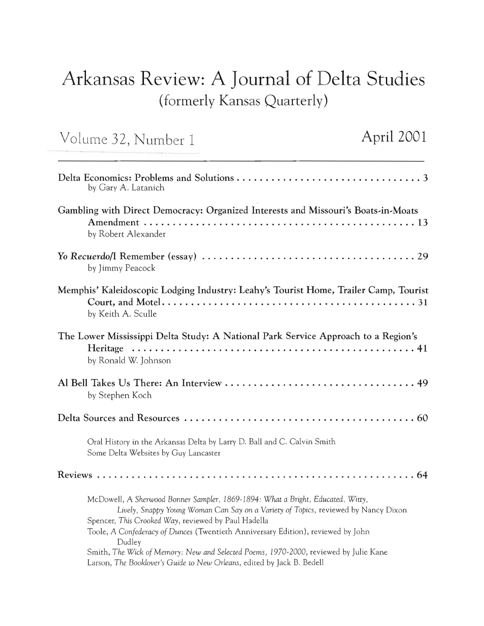## **Arkansas Review: A Journal of Delta Studies**  (formerly Kansas Quarterly)

Volurne 32, Nurnber 1 **April 2001** 

| by Gary A. Latanich                                                                                                                                                                                                                                                                                                                                                                                                                                                                          |
|----------------------------------------------------------------------------------------------------------------------------------------------------------------------------------------------------------------------------------------------------------------------------------------------------------------------------------------------------------------------------------------------------------------------------------------------------------------------------------------------|
| Gambling with Direct Democracy: Organized Interests and Missouri's Boats-in-Moats<br>by Robert Alexander                                                                                                                                                                                                                                                                                                                                                                                     |
| by Jimmy Peacock                                                                                                                                                                                                                                                                                                                                                                                                                                                                             |
| Memphis' Kaleidoscopic Lodging Industry: Leahy's Tourist Home, Trailer Camp, Tourist<br>by Keith A. Sculle                                                                                                                                                                                                                                                                                                                                                                                   |
| The Lower Mississippi Delta Study: A National Park Service Approach to a Region's<br>by Ronald W. Johnson                                                                                                                                                                                                                                                                                                                                                                                    |
| by Stephen Koch                                                                                                                                                                                                                                                                                                                                                                                                                                                                              |
|                                                                                                                                                                                                                                                                                                                                                                                                                                                                                              |
| Oral History in the Arkansas Delta by Larry D. Ball and C. Calvin Smith<br>Some Delta Websites by Guy Lancaster                                                                                                                                                                                                                                                                                                                                                                              |
|                                                                                                                                                                                                                                                                                                                                                                                                                                                                                              |
| McDowell, A Sherwood Bonner Sampler, 1869-1894: What a Bright, Educated, Witty,<br>Lively, Snappy Young Woman Can Say on a Variety of Topics, reviewed by Nancy Dixon<br>Spencer, This Crooked Way, reviewed by Paul Hadella<br>Toole, A Confederacy of Dunces (Twentieth Anniversary Edition), reviewed by John<br>Dudley<br>Smith, The Wick of Memory: New and Selected Poems, 1970-2000, reviewed by Julie Kane<br>Larson, The Booklover's Guide to New Orleans, edited by Jack B. Bedell |